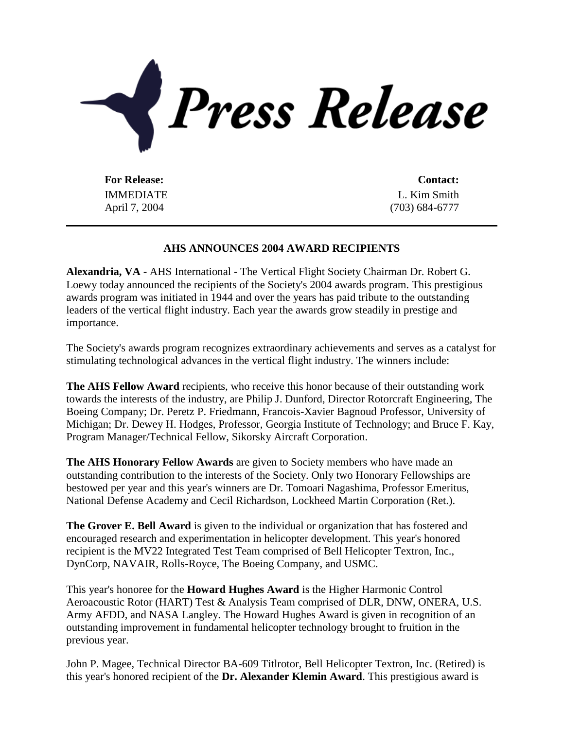

**For Release: Contact:** IMMEDIATE April 7, 2004

L. Kim Smith (703) 684-6777

## **AHS ANNOUNCES 2004 AWARD RECIPIENTS**

**Alexandria, VA** - AHS International - The Vertical Flight Society Chairman Dr. Robert G. Loewy today announced the recipients of the Society's 2004 awards program. This prestigious awards program was initiated in 1944 and over the years has paid tribute to the outstanding leaders of the vertical flight industry. Each year the awards grow steadily in prestige and importance.

The Society's awards program recognizes extraordinary achievements and serves as a catalyst for stimulating technological advances in the vertical flight industry. The winners include:

**The AHS Fellow Award** recipients, who receive this honor because of their outstanding work towards the interests of the industry, are Philip J. Dunford, Director Rotorcraft Engineering, The Boeing Company; Dr. Peretz P. Friedmann, Francois-Xavier Bagnoud Professor, University of Michigan; Dr. Dewey H. Hodges, Professor, Georgia Institute of Technology; and Bruce F. Kay, Program Manager/Technical Fellow, Sikorsky Aircraft Corporation.

**The AHS Honorary Fellow Awards** are given to Society members who have made an outstanding contribution to the interests of the Society. Only two Honorary Fellowships are bestowed per year and this year's winners are Dr. Tomoari Nagashima, Professor Emeritus, National Defense Academy and Cecil Richardson, Lockheed Martin Corporation (Ret.).

**The Grover E. Bell Award** is given to the individual or organization that has fostered and encouraged research and experimentation in helicopter development. This year's honored recipient is the MV22 Integrated Test Team comprised of Bell Helicopter Textron, Inc., DynCorp, NAVAIR, Rolls-Royce, The Boeing Company, and USMC.

This year's honoree for the **Howard Hughes Award** is the Higher Harmonic Control Aeroacoustic Rotor (HART) Test & Analysis Team comprised of DLR, DNW, ONERA, U.S. Army AFDD, and NASA Langley. The Howard Hughes Award is given in recognition of an outstanding improvement in fundamental helicopter technology brought to fruition in the previous year.

John P. Magee, Technical Director BA-609 Titlrotor, Bell Helicopter Textron, Inc. (Retired) is this year's honored recipient of the **Dr. Alexander Klemin Award**. This prestigious award is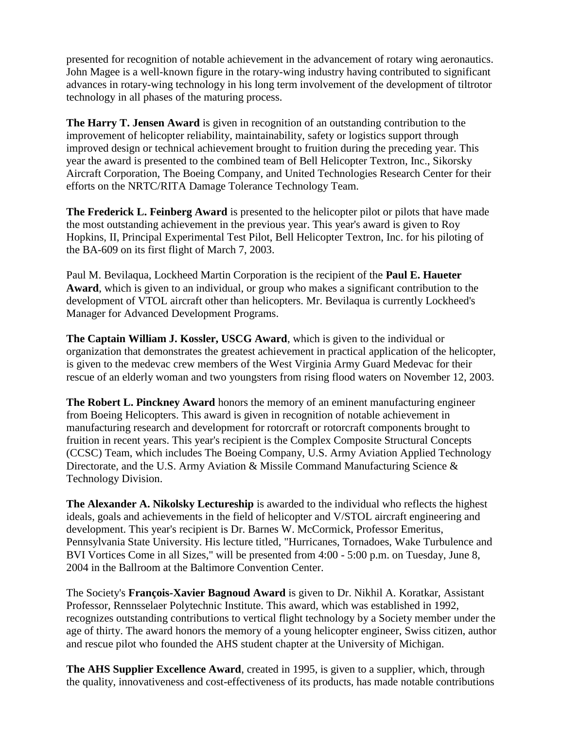presented for recognition of notable achievement in the advancement of rotary wing aeronautics. John Magee is a well-known figure in the rotary-wing industry having contributed to significant advances in rotary-wing technology in his long term involvement of the development of tiltrotor technology in all phases of the maturing process.

**The Harry T. Jensen Award** is given in recognition of an outstanding contribution to the improvement of helicopter reliability, maintainability, safety or logistics support through improved design or technical achievement brought to fruition during the preceding year. This year the award is presented to the combined team of Bell Helicopter Textron, Inc., Sikorsky Aircraft Corporation, The Boeing Company, and United Technologies Research Center for their efforts on the NRTC/RITA Damage Tolerance Technology Team.

**The Frederick L. Feinberg Award** is presented to the helicopter pilot or pilots that have made the most outstanding achievement in the previous year. This year's award is given to Roy Hopkins, II, Principal Experimental Test Pilot, Bell Helicopter Textron, Inc. for his piloting of the BA-609 on its first flight of March 7, 2003.

Paul M. Bevilaqua, Lockheed Martin Corporation is the recipient of the **Paul E. Haueter Award**, which is given to an individual, or group who makes a significant contribution to the development of VTOL aircraft other than helicopters. Mr. Bevilaqua is currently Lockheed's Manager for Advanced Development Programs.

**The Captain William J. Kossler, USCG Award**, which is given to the individual or organization that demonstrates the greatest achievement in practical application of the helicopter, is given to the medevac crew members of the West Virginia Army Guard Medevac for their rescue of an elderly woman and two youngsters from rising flood waters on November 12, 2003.

**The Robert L. Pinckney Award** honors the memory of an eminent manufacturing engineer from Boeing Helicopters. This award is given in recognition of notable achievement in manufacturing research and development for rotorcraft or rotorcraft components brought to fruition in recent years. This year's recipient is the Complex Composite Structural Concepts (CCSC) Team, which includes The Boeing Company, U.S. Army Aviation Applied Technology Directorate, and the U.S. Army Aviation & Missile Command Manufacturing Science & Technology Division.

**The Alexander A. Nikolsky Lectureship** is awarded to the individual who reflects the highest ideals, goals and achievements in the field of helicopter and V/STOL aircraft engineering and development. This year's recipient is Dr. Barnes W. McCormick, Professor Emeritus, Pennsylvania State University. His lecture titled, "Hurricanes, Tornadoes, Wake Turbulence and BVI Vortices Come in all Sizes," will be presented from 4:00 - 5:00 p.m. on Tuesday, June 8, 2004 in the Ballroom at the Baltimore Convention Center.

The Society's **François-Xavier Bagnoud Award** is given to Dr. Nikhil A. Koratkar, Assistant Professor, Rennsselaer Polytechnic Institute. This award, which was established in 1992, recognizes outstanding contributions to vertical flight technology by a Society member under the age of thirty. The award honors the memory of a young helicopter engineer, Swiss citizen, author and rescue pilot who founded the AHS student chapter at the University of Michigan.

**The AHS Supplier Excellence Award**, created in 1995, is given to a supplier, which, through the quality, innovativeness and cost-effectiveness of its products, has made notable contributions